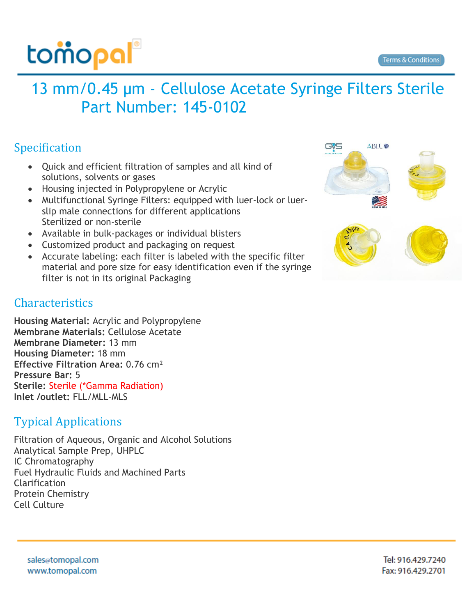

## 13 mm/0.45 µm - Cellulose Acetate Syringe Filters Sterile Part Number: 145-0102

## Specification

- Quick and efficient filtration of samples and all kind of solutions, solvents or gases
- Housing injected in Polypropylene or Acrylic
- Multifunctional Syringe Filters: equipped with luer-lock or luerslip male connections for different applications Sterilized or non-sterile
- Available in bulk-packages or individual blisters
- Customized product and packaging on request
- Accurate labeling: each filter is labeled with the specific filter material and pore size for easy identification even if the syringe filter is not in its original Packaging

## Characteristics

**Housing Material:** Acrylic and Polypropylene **Membrane Materials:** Cellulose Acetate **Membrane Diameter:** 13 mm **Housing Diameter:** 18 mm **Effective Filtration Area:** 0.76 cm² **Pressure Bar:** 5 **Sterile:** Sterile (\*Gamma Radiation) **Inlet /outlet:** FLL/MLL-MLS

## Typical Applications

Filtration of Aqueous, Organic and Alcohol Solutions Analytical Sample Prep, UHPLC IC Chromatography Fuel Hydraulic Fluids and Machined Parts Clarification Protein Chemistry Cell Culture



sales@tomopal.com www.tomopal.com

Tel: 916.429.7240 Fax: 916.429.2701